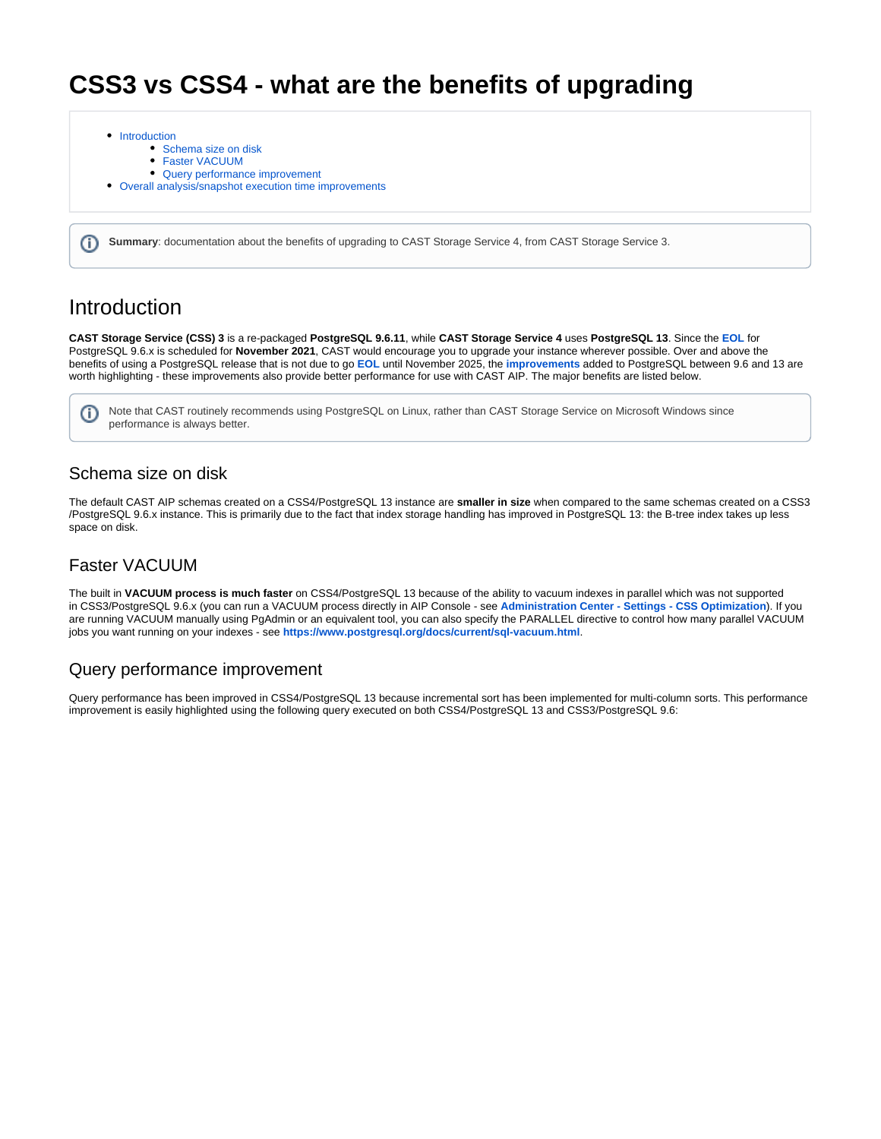# **CSS3 vs CSS4 - what are the benefits of upgrading**

- [Introduction](#page-0-0)
	- [Schema size on disk](#page-0-1)
	- [Faster VACUUM](#page-0-2)
	- [Query performance improvement](#page-0-3)
- [Overall analysis/snapshot execution time improvements](#page-1-0)

**Summary**: documentation about the benefits of upgrading to CAST Storage Service 4, from CAST Storage Service 3.

## <span id="page-0-0"></span>Introduction

ത

**CAST Storage Service (CSS) 3** is a re-packaged **PostgreSQL 9.6.11**, while **CAST Storage Service 4** uses **PostgreSQL 13**. Since the **[EOL](https://www.postgresql.org/support/versioning/)** for PostgreSQL 9.6.x is scheduled for **November 2021**, CAST would encourage you to upgrade your instance wherever possible. Over and above the benefits of using a PostgreSQL release that is not due to go **[EOL](https://www.postgresql.org/support/versioning/)** until November 2025, the **[improvements](https://www.postgresql.org/docs/13/release-13.html)** added to PostgreSQL between 9.6 and 13 are worth highlighting - these improvements also provide better performance for use with CAST AIP. The major benefits are listed below.

Note that CAST routinely recommends using PostgreSQL on Linux, rather than CAST Storage Service on Microsoft Windows since ന performance is always better.

#### <span id="page-0-1"></span>Schema size on disk

The default CAST AIP schemas created on a CSS4/PostgreSQL 13 instance are **smaller in size** when compared to the same schemas created on a CSS3 /PostgreSQL 9.6.x instance. This is primarily due to the fact that index storage handling has improved in PostgreSQL 13: the B-tree index takes up less space on disk.

### <span id="page-0-2"></span>Faster VACUUM

The built in **VACUUM process is much faster** on CSS4/PostgreSQL 13 because of the ability to vacuum indexes in parallel which was not supported in CSS3/PostgreSQL 9.6.x (you can run a VACUUM process directly in AIP Console - see **[Administration Center - Settings - CSS Optimization](https://doc.castsoftware.com/display/AIPCONSOLE/Administration+Center+-+Settings+-+CSS+Optimization)**). If you are running VACUUM manually using PgAdmin or an equivalent tool, you can also specify the PARALLEL directive to control how many parallel VACUUM jobs you want running on your indexes - see **<https://www.postgresql.org/docs/current/sql-vacuum.html>**.

### <span id="page-0-3"></span>Query performance improvement

Query performance has been improved in CSS4/PostgreSQL 13 because incremental sort has been implemented for multi-column sorts. This performance improvement is easily highlighted using the following query executed on both CSS4/PostgreSQL 13 and CSS3/PostgreSQL 9.6: